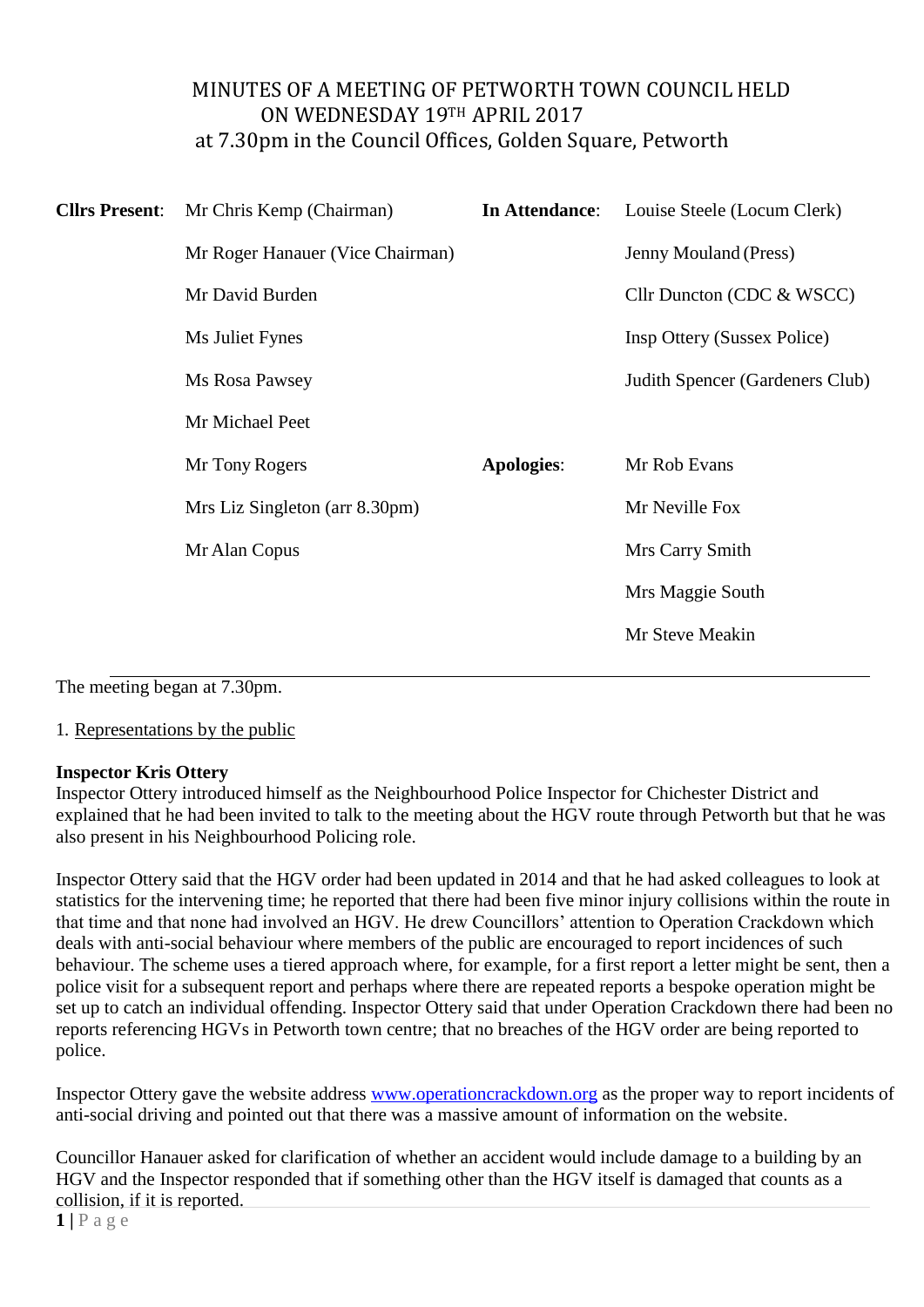# MINUTES OF A MEETING OF PETWORTH TOWN COUNCIL HELD ON WEDNESDAY 19TH APRIL 2017 at 7.30pm in the Council Offices, Golden Square, Petworth

| <b>Cllrs Present:</b> | Mr Chris Kemp (Chairman)         | In Attendance:    | Louise Steele (Locum Clerk)        |
|-----------------------|----------------------------------|-------------------|------------------------------------|
|                       | Mr Roger Hanauer (Vice Chairman) |                   | <b>Jenny Mouland (Press)</b>       |
|                       | Mr David Burden                  |                   | Cllr Duncton (CDC & WSCC)          |
|                       | Ms Juliet Fynes                  |                   | <b>Insp Ottery (Sussex Police)</b> |
|                       | Ms Rosa Pawsey                   |                   | Judith Spencer (Gardeners Club)    |
|                       | Mr Michael Peet                  |                   |                                    |
|                       | Mr Tony Rogers                   | <b>Apologies:</b> | Mr Rob Evans                       |
|                       | Mrs Liz Singleton (arr 8.30pm)   |                   | Mr Neville Fox                     |
|                       | Mr Alan Copus                    |                   | Mrs Carry Smith                    |
|                       |                                  |                   | Mrs Maggie South                   |
|                       |                                  |                   | Mr Steve Meakin                    |
|                       |                                  |                   |                                    |

The meeting began at 7.30pm.

1. Representations by the public

### **Inspector Kris Ottery**

Inspector Ottery introduced himself as the Neighbourhood Police Inspector for Chichester District and explained that he had been invited to talk to the meeting about the HGV route through Petworth but that he was also present in his Neighbourhood Policing role.

Inspector Ottery said that the HGV order had been updated in 2014 and that he had asked colleagues to look at statistics for the intervening time; he reported that there had been five minor injury collisions within the route in that time and that none had involved an HGV. He drew Councillors' attention to Operation Crackdown which deals with anti-social behaviour where members of the public are encouraged to report incidences of such behaviour. The scheme uses a tiered approach where, for example, for a first report a letter might be sent, then a police visit for a subsequent report and perhaps where there are repeated reports a bespoke operation might be set up to catch an individual offending. Inspector Ottery said that under Operation Crackdown there had been no reports referencing HGVs in Petworth town centre; that no breaches of the HGV order are being reported to police.

Inspector Ottery gave the website address [www.operationcrackdown.org](http://www.operationcrackdown.org/) as the proper way to report incidents of anti-social driving and pointed out that there was a massive amount of information on the website.

Councillor Hanauer asked for clarification of whether an accident would include damage to a building by an HGV and the Inspector responded that if something other than the HGV itself is damaged that counts as a collision, if it is reported.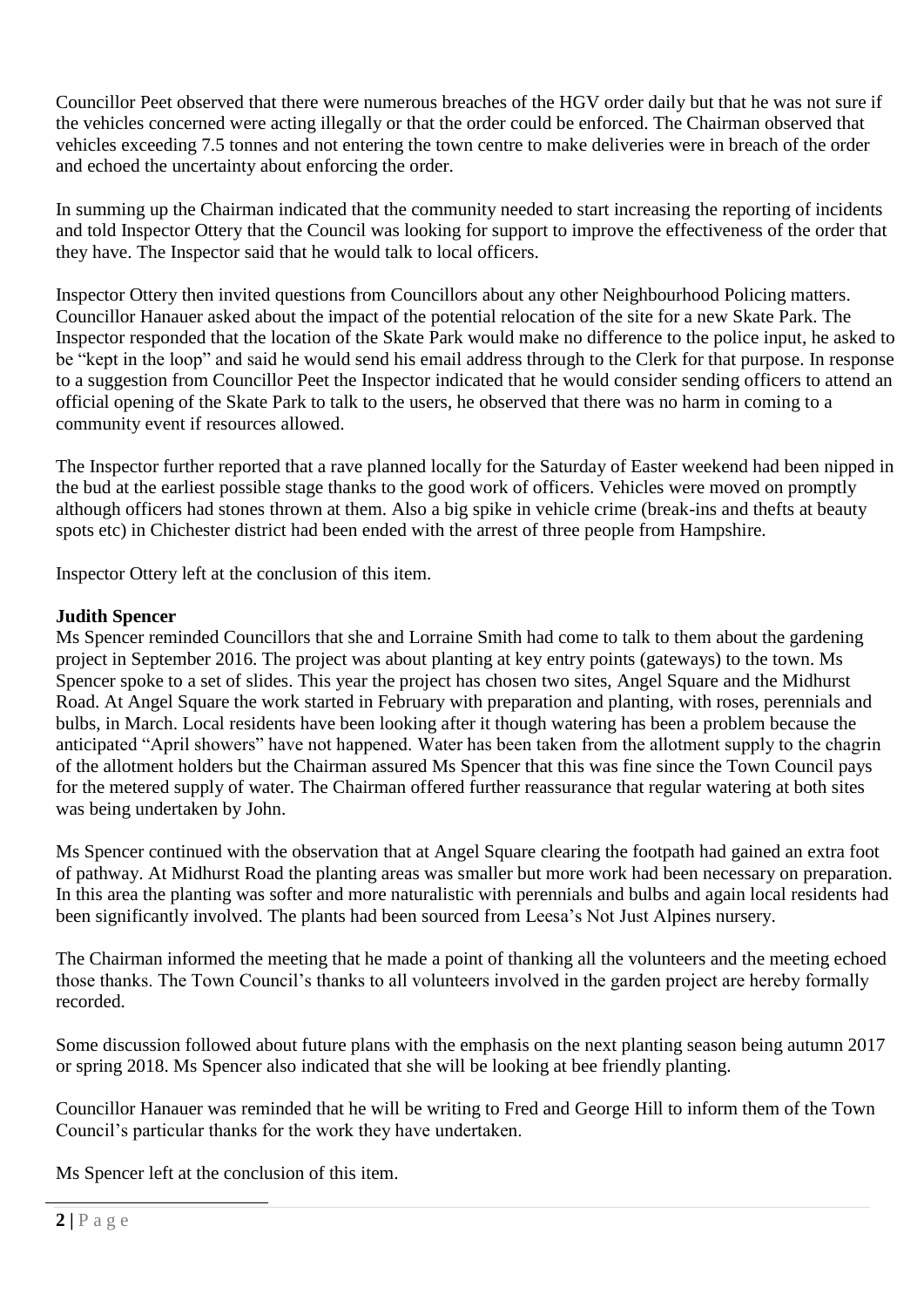Councillor Peet observed that there were numerous breaches of the HGV order daily but that he was not sure if the vehicles concerned were acting illegally or that the order could be enforced. The Chairman observed that vehicles exceeding 7.5 tonnes and not entering the town centre to make deliveries were in breach of the order and echoed the uncertainty about enforcing the order.

In summing up the Chairman indicated that the community needed to start increasing the reporting of incidents and told Inspector Ottery that the Council was looking for support to improve the effectiveness of the order that they have. The Inspector said that he would talk to local officers.

Inspector Ottery then invited questions from Councillors about any other Neighbourhood Policing matters. Councillor Hanauer asked about the impact of the potential relocation of the site for a new Skate Park. The Inspector responded that the location of the Skate Park would make no difference to the police input, he asked to be "kept in the loop" and said he would send his email address through to the Clerk for that purpose. In response to a suggestion from Councillor Peet the Inspector indicated that he would consider sending officers to attend an official opening of the Skate Park to talk to the users, he observed that there was no harm in coming to a community event if resources allowed.

The Inspector further reported that a rave planned locally for the Saturday of Easter weekend had been nipped in the bud at the earliest possible stage thanks to the good work of officers. Vehicles were moved on promptly although officers had stones thrown at them. Also a big spike in vehicle crime (break-ins and thefts at beauty spots etc) in Chichester district had been ended with the arrest of three people from Hampshire.

Inspector Ottery left at the conclusion of this item.

## **Judith Spencer**

Ms Spencer reminded Councillors that she and Lorraine Smith had come to talk to them about the gardening project in September 2016. The project was about planting at key entry points (gateways) to the town. Ms Spencer spoke to a set of slides. This year the project has chosen two sites, Angel Square and the Midhurst Road. At Angel Square the work started in February with preparation and planting, with roses, perennials and bulbs, in March. Local residents have been looking after it though watering has been a problem because the anticipated "April showers" have not happened. Water has been taken from the allotment supply to the chagrin of the allotment holders but the Chairman assured Ms Spencer that this was fine since the Town Council pays for the metered supply of water. The Chairman offered further reassurance that regular watering at both sites was being undertaken by John.

Ms Spencer continued with the observation that at Angel Square clearing the footpath had gained an extra foot of pathway. At Midhurst Road the planting areas was smaller but more work had been necessary on preparation. In this area the planting was softer and more naturalistic with perennials and bulbs and again local residents had been significantly involved. The plants had been sourced from Leesa's Not Just Alpines nursery.

The Chairman informed the meeting that he made a point of thanking all the volunteers and the meeting echoed those thanks. The Town Council's thanks to all volunteers involved in the garden project are hereby formally recorded.

Some discussion followed about future plans with the emphasis on the next planting season being autumn 2017 or spring 2018. Ms Spencer also indicated that she will be looking at bee friendly planting.

Councillor Hanauer was reminded that he will be writing to Fred and George Hill to inform them of the Town Council's particular thanks for the work they have undertaken.

Ms Spencer left at the conclusion of this item.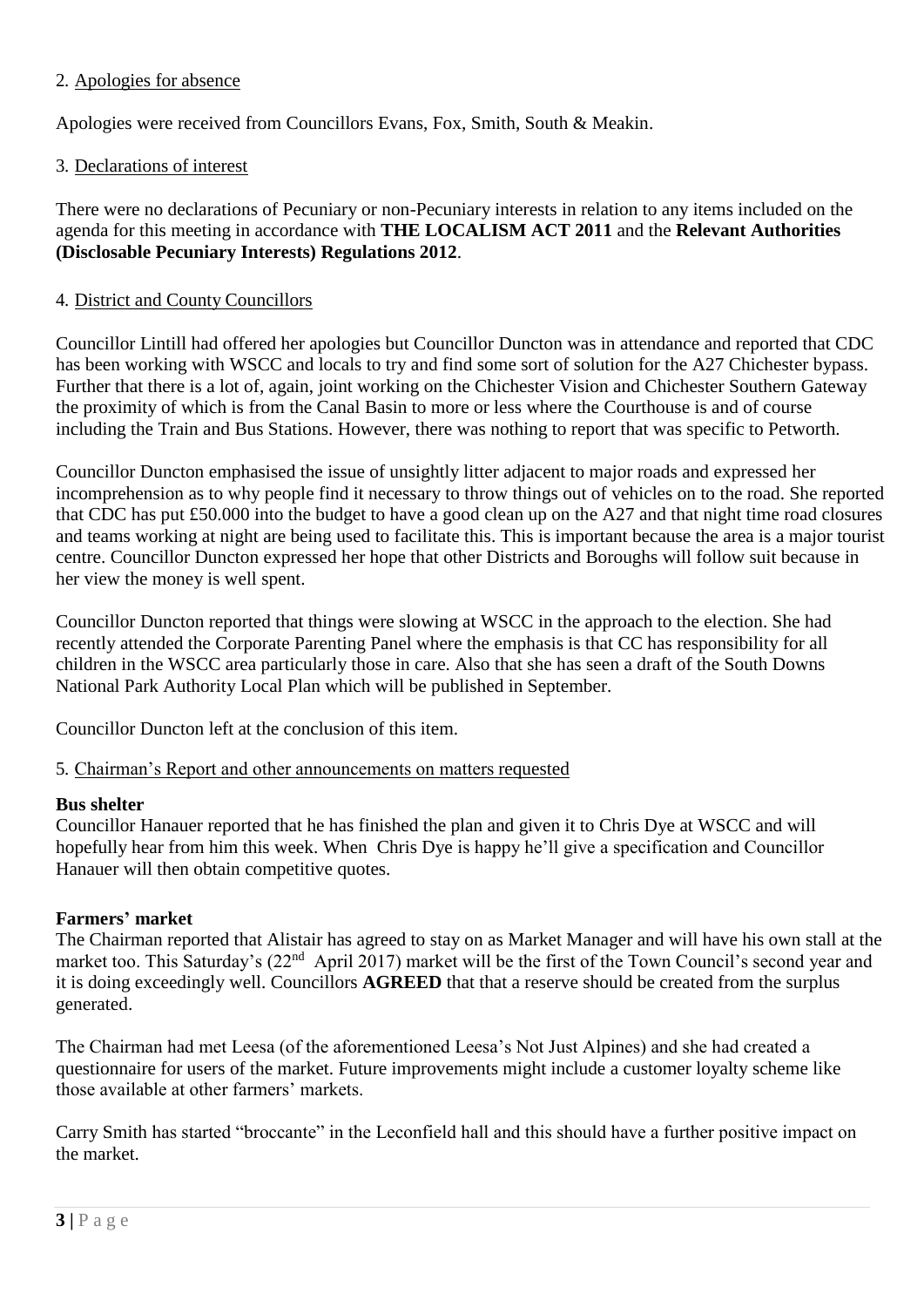## 2. Apologies for absence

Apologies were received from Councillors Evans, Fox, Smith, South & Meakin.

## 3. Declarations of interest

There were no declarations of Pecuniary or non-Pecuniary interests in relation to any items included on the agenda for this meeting in accordance with **THE LOCALISM ACT 2011** and the **Relevant Authorities (Disclosable Pecuniary Interests) Regulations 2012**.

## 4. District and County Councillors

Councillor Lintill had offered her apologies but Councillor Duncton was in attendance and reported that CDC has been working with WSCC and locals to try and find some sort of solution for the A27 Chichester bypass. Further that there is a lot of, again, joint working on the Chichester Vision and Chichester Southern Gateway the proximity of which is from the Canal Basin to more or less where the Courthouse is and of course including the Train and Bus Stations. However, there was nothing to report that was specific to Petworth.

Councillor Duncton emphasised the issue of unsightly litter adjacent to major roads and expressed her incomprehension as to why people find it necessary to throw things out of vehicles on to the road. She reported that CDC has put £50.000 into the budget to have a good clean up on the A27 and that night time road closures and teams working at night are being used to facilitate this. This is important because the area is a major tourist centre. Councillor Duncton expressed her hope that other Districts and Boroughs will follow suit because in her view the money is well spent.

Councillor Duncton reported that things were slowing at WSCC in the approach to the election. She had recently attended the Corporate Parenting Panel where the emphasis is that CC has responsibility for all children in the WSCC area particularly those in care. Also that she has seen a draft of the South Downs National Park Authority Local Plan which will be published in September.

Councillor Duncton left at the conclusion of this item.

5. Chairman's Report and other announcements on matters requested

### **Bus shelter**

Councillor Hanauer reported that he has finished the plan and given it to Chris Dye at WSCC and will hopefully hear from him this week. When Chris Dye is happy he'll give a specification and Councillor Hanauer will then obtain competitive quotes.

# **Farmers' market**

The Chairman reported that Alistair has agreed to stay on as Market Manager and will have his own stall at the market too. This Saturday's (22<sup>nd</sup> April 2017) market will be the first of the Town Council's second year and it is doing exceedingly well. Councillors **AGREED** that that a reserve should be created from the surplus generated.

The Chairman had met Leesa (of the aforementioned Leesa's Not Just Alpines) and she had created a questionnaire for users of the market. Future improvements might include a customer loyalty scheme like those available at other farmers' markets.

Carry Smith has started "broccante" in the Leconfield hall and this should have a further positive impact on the market.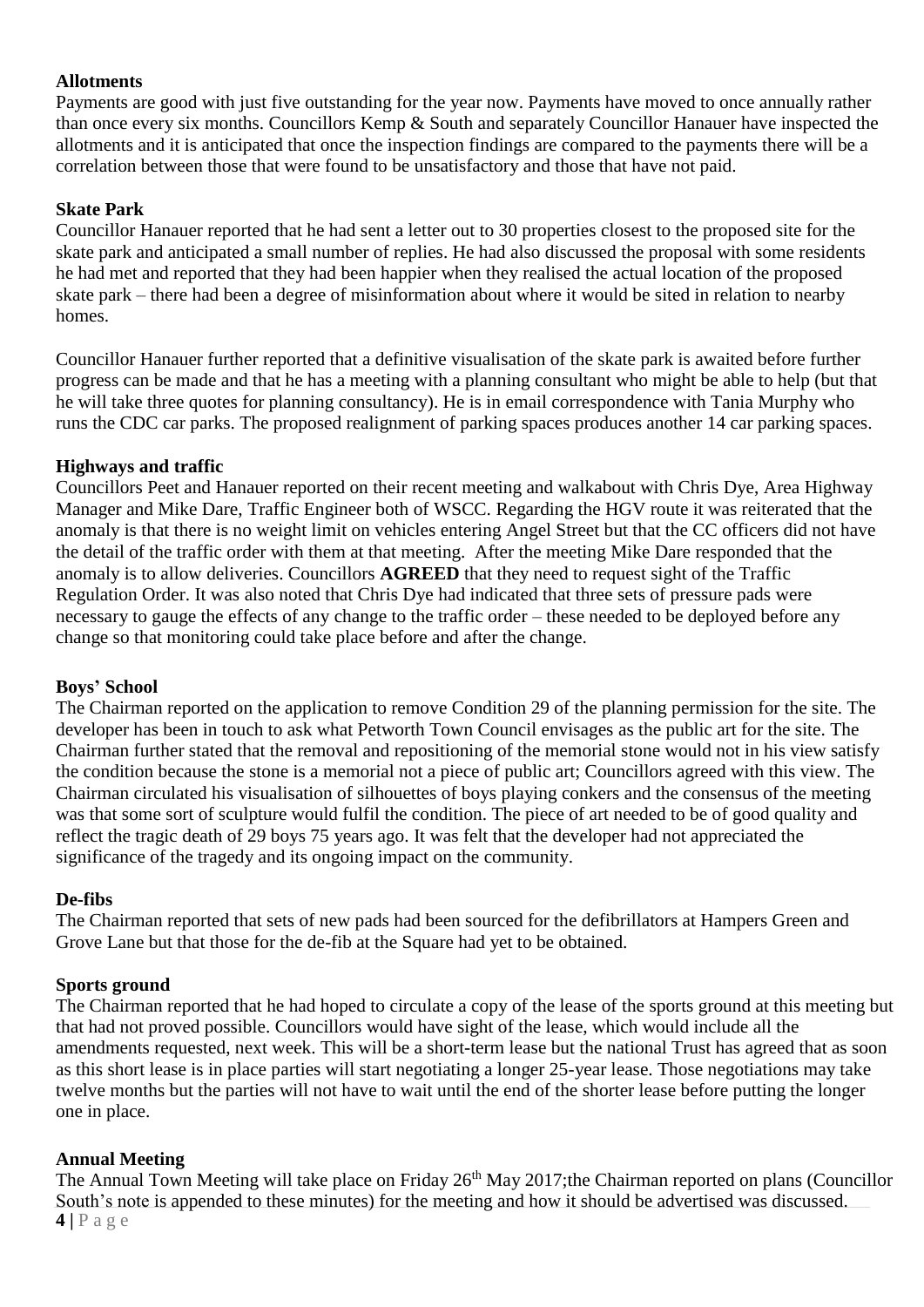## **Allotments**

Payments are good with just five outstanding for the year now. Payments have moved to once annually rather than once every six months. Councillors Kemp & South and separately Councillor Hanauer have inspected the allotments and it is anticipated that once the inspection findings are compared to the payments there will be a correlation between those that were found to be unsatisfactory and those that have not paid.

## **Skate Park**

Councillor Hanauer reported that he had sent a letter out to 30 properties closest to the proposed site for the skate park and anticipated a small number of replies. He had also discussed the proposal with some residents he had met and reported that they had been happier when they realised the actual location of the proposed skate park – there had been a degree of misinformation about where it would be sited in relation to nearby homes.

Councillor Hanauer further reported that a definitive visualisation of the skate park is awaited before further progress can be made and that he has a meeting with a planning consultant who might be able to help (but that he will take three quotes for planning consultancy). He is in email correspondence with Tania Murphy who runs the CDC car parks. The proposed realignment of parking spaces produces another 14 car parking spaces.

## **Highways and traffic**

Councillors Peet and Hanauer reported on their recent meeting and walkabout with Chris Dye, Area Highway Manager and Mike Dare, Traffic Engineer both of WSCC. Regarding the HGV route it was reiterated that the anomaly is that there is no weight limit on vehicles entering Angel Street but that the CC officers did not have the detail of the traffic order with them at that meeting. After the meeting Mike Dare responded that the anomaly is to allow deliveries. Councillors **AGREED** that they need to request sight of the Traffic Regulation Order. It was also noted that Chris Dye had indicated that three sets of pressure pads were necessary to gauge the effects of any change to the traffic order – these needed to be deployed before any change so that monitoring could take place before and after the change.

### **Boys' School**

The Chairman reported on the application to remove Condition 29 of the planning permission for the site. The developer has been in touch to ask what Petworth Town Council envisages as the public art for the site. The Chairman further stated that the removal and repositioning of the memorial stone would not in his view satisfy the condition because the stone is a memorial not a piece of public art; Councillors agreed with this view. The Chairman circulated his visualisation of silhouettes of boys playing conkers and the consensus of the meeting was that some sort of sculpture would fulfil the condition. The piece of art needed to be of good quality and reflect the tragic death of 29 boys 75 years ago. It was felt that the developer had not appreciated the significance of the tragedy and its ongoing impact on the community.

### **De-fibs**

The Chairman reported that sets of new pads had been sourced for the defibrillators at Hampers Green and Grove Lane but that those for the de-fib at the Square had yet to be obtained.

### **Sports ground**

The Chairman reported that he had hoped to circulate a copy of the lease of the sports ground at this meeting but that had not proved possible. Councillors would have sight of the lease, which would include all the amendments requested, next week. This will be a short-term lease but the national Trust has agreed that as soon as this short lease is in place parties will start negotiating a longer 25-year lease. Those negotiations may take twelve months but the parties will not have to wait until the end of the shorter lease before putting the longer one in place.

# **Annual Meeting**

**4 |** P a g e The Annual Town Meeting will take place on Friday 26<sup>th</sup> May 2017; the Chairman reported on plans (Councillor South's note is appended to these minutes) for the meeting and how it should be advertised was discussed.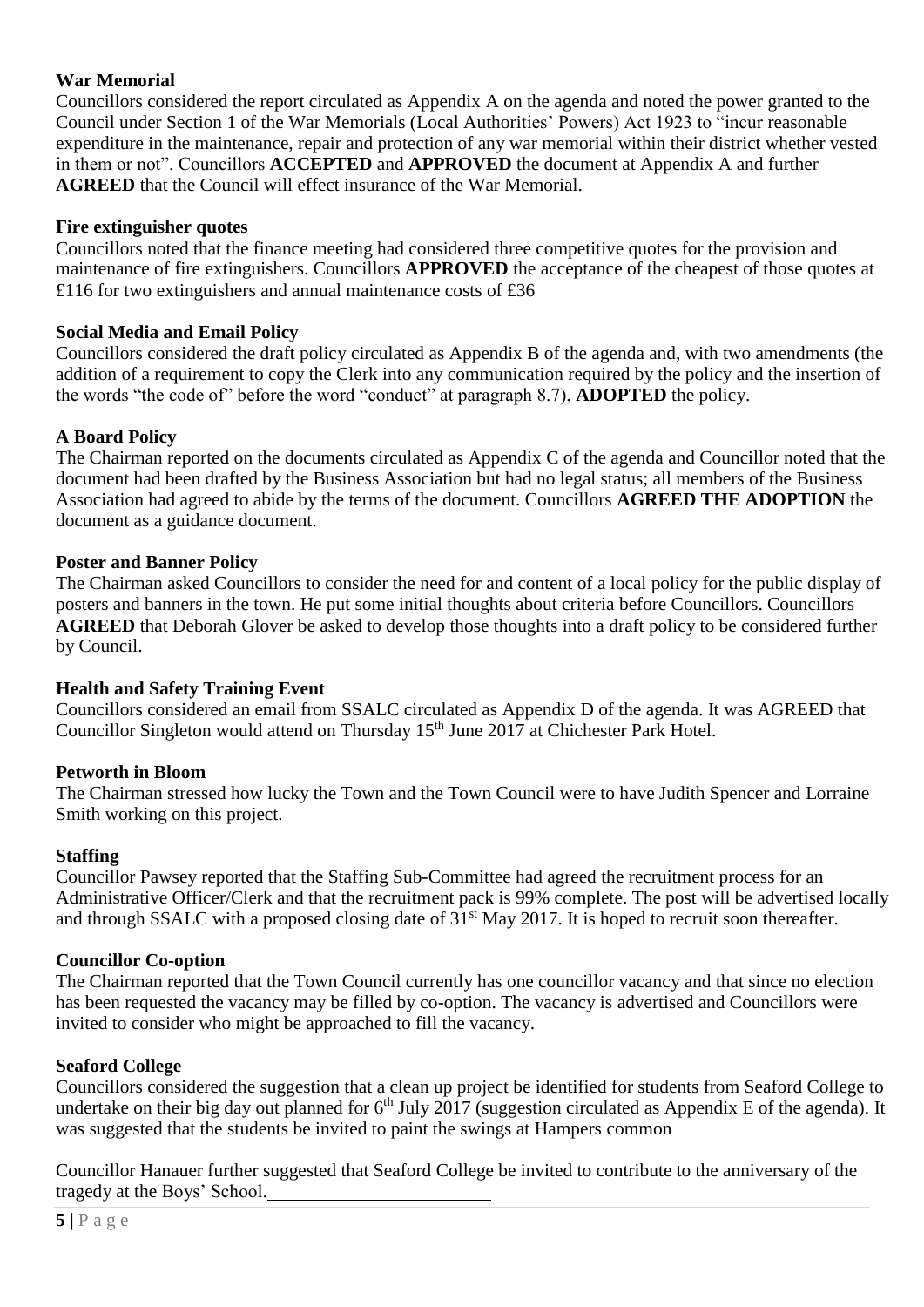# **War Memorial**

Councillors considered the report circulated as Appendix A on the agenda and noted the power granted to the Council under Section 1 of the War Memorials (Local Authorities' Powers) Act 1923 to "incur reasonable expenditure in the maintenance, repair and protection of any war memorial within their district whether vested in them or not". Councillors **ACCEPTED** and **APPROVED** the document at Appendix A and further **AGREED** that the Council will effect insurance of the War Memorial.

#### **Fire extinguisher quotes**

Councillors noted that the finance meeting had considered three competitive quotes for the provision and maintenance of fire extinguishers. Councillors **APPROVED** the acceptance of the cheapest of those quotes at £116 for two extinguishers and annual maintenance costs of £36

#### **Social Media and Email Policy**

Councillors considered the draft policy circulated as Appendix B of the agenda and, with two amendments (the addition of a requirement to copy the Clerk into any communication required by the policy and the insertion of the words "the code of" before the word "conduct" at paragraph 8.7), **ADOPTED** the policy.

### **A Board Policy**

The Chairman reported on the documents circulated as Appendix C of the agenda and Councillor noted that the document had been drafted by the Business Association but had no legal status; all members of the Business Association had agreed to abide by the terms of the document. Councillors **AGREED THE ADOPTION** the document as a guidance document.

#### **Poster and Banner Policy**

The Chairman asked Councillors to consider the need for and content of a local policy for the public display of posters and banners in the town. He put some initial thoughts about criteria before Councillors. Councillors **AGREED** that Deborah Glover be asked to develop those thoughts into a draft policy to be considered further by Council.

#### **Health and Safety Training Event**

Councillors considered an email from SSALC circulated as Appendix D of the agenda. It was AGREED that Councillor Singleton would attend on Thursday 15<sup>th</sup> June 2017 at Chichester Park Hotel.

#### **Petworth in Bloom**

The Chairman stressed how lucky the Town and the Town Council were to have Judith Spencer and Lorraine Smith working on this project.

#### **Staffing**

Councillor Pawsey reported that the Staffing Sub-Committee had agreed the recruitment process for an Administrative Officer/Clerk and that the recruitment pack is 99% complete. The post will be advertised locally and through SSALC with a proposed closing date of 31<sup>st</sup> May 2017. It is hoped to recruit soon thereafter.

#### **Councillor Co-option**

The Chairman reported that the Town Council currently has one councillor vacancy and that since no election has been requested the vacancy may be filled by co-option. The vacancy is advertised and Councillors were invited to consider who might be approached to fill the vacancy.

#### **Seaford College**

Councillors considered the suggestion that a clean up project be identified for students from Seaford College to undertake on their big day out planned for  $6<sup>th</sup>$  July 2017 (suggestion circulated as Appendix E of the agenda). It was suggested that the students be invited to paint the swings at Hampers common

Councillor Hanauer further suggested that Seaford College be invited to contribute to the anniversary of the tragedy at the Boys' School.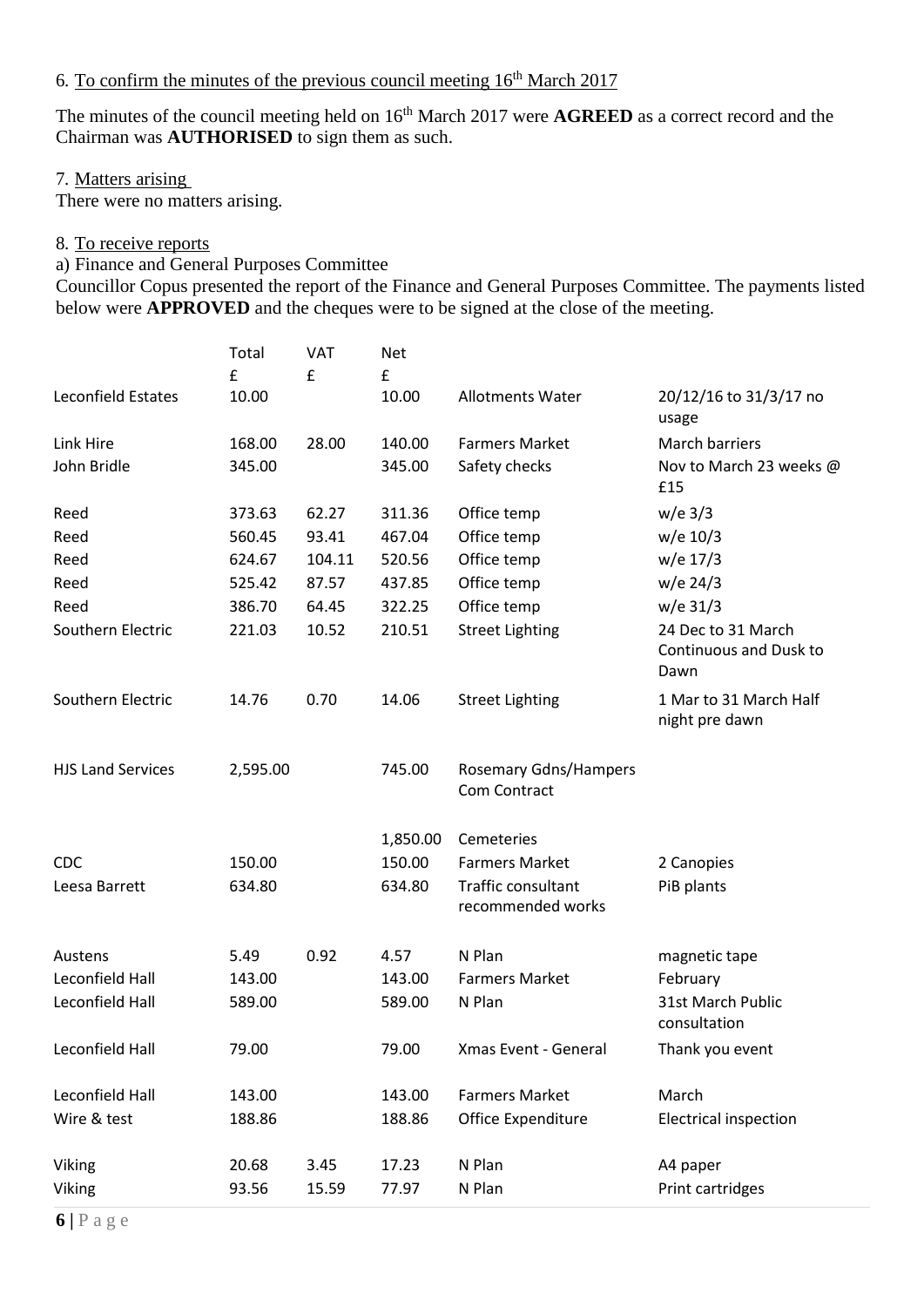# 6. To confirm the minutes of the previous council meeting  $16<sup>th</sup>$  March 2017

The minutes of the council meeting held on 16<sup>th</sup> March 2017 were **AGREED** as a correct record and the Chairman was **AUTHORISED** to sign them as such.

#### 7. Matters arising

There were no matters arising.

## 8. To receive reports

a) Finance and General Purposes Committee

Councillor Copus presented the report of the Finance and General Purposes Committee. The payments listed below were **APPROVED** and the cheques were to be signed at the close of the meeting.

|                          | Total<br>£ | <b>VAT</b><br>£ | Net<br>£ |                                              |                                                      |
|--------------------------|------------|-----------------|----------|----------------------------------------------|------------------------------------------------------|
| Leconfield Estates       | 10.00      |                 | 10.00    | <b>Allotments Water</b>                      | 20/12/16 to 31/3/17 no<br>usage                      |
| Link Hire                | 168.00     | 28.00           | 140.00   | <b>Farmers Market</b>                        | <b>March barriers</b>                                |
| John Bridle              | 345.00     |                 | 345.00   | Safety checks                                | Nov to March 23 weeks @<br>£15                       |
| Reed                     | 373.63     | 62.27           | 311.36   | Office temp                                  | $w/e$ 3/3                                            |
| Reed                     | 560.45     | 93.41           | 467.04   | Office temp                                  | w/e 10/3                                             |
| Reed                     | 624.67     | 104.11          | 520.56   | Office temp                                  | w/e 17/3                                             |
| Reed                     | 525.42     | 87.57           | 437.85   | Office temp                                  | w/e 24/3                                             |
| Reed                     | 386.70     | 64.45           | 322.25   | Office temp                                  | $w/e$ 31/3                                           |
| Southern Electric        | 221.03     | 10.52           | 210.51   | <b>Street Lighting</b>                       | 24 Dec to 31 March<br>Continuous and Dusk to<br>Dawn |
| Southern Electric        | 14.76      | 0.70            | 14.06    | <b>Street Lighting</b>                       | 1 Mar to 31 March Half<br>night pre dawn             |
| <b>HJS Land Services</b> | 2,595.00   |                 | 745.00   | <b>Rosemary Gdns/Hampers</b><br>Com Contract |                                                      |
|                          |            |                 | 1,850.00 | Cemeteries                                   |                                                      |
| <b>CDC</b>               | 150.00     |                 | 150.00   | <b>Farmers Market</b>                        | 2 Canopies                                           |
| Leesa Barrett            | 634.80     |                 | 634.80   | Traffic consultant<br>recommended works      | PiB plants                                           |
| Austens                  | 5.49       | 0.92            | 4.57     | N Plan                                       | magnetic tape                                        |
| Leconfield Hall          | 143.00     |                 | 143.00   | <b>Farmers Market</b>                        | February                                             |
| Leconfield Hall          | 589.00     |                 | 589.00   | N Plan                                       | 31st March Public<br>consultation                    |
| Leconfield Hall          | 79.00      |                 | 79.00    | Xmas Event - General                         | Thank you event                                      |
| Leconfield Hall          | 143.00     |                 | 143.00   | <b>Farmers Market</b>                        | March                                                |
| Wire & test              | 188.86     |                 | 188.86   | Office Expenditure                           | <b>Electrical inspection</b>                         |
| Viking                   | 20.68      | 3.45            | 17.23    | N Plan                                       | A4 paper                                             |
| Viking                   | 93.56      | 15.59           | 77.97    | N Plan                                       | Print cartridges                                     |
|                          |            |                 |          |                                              |                                                      |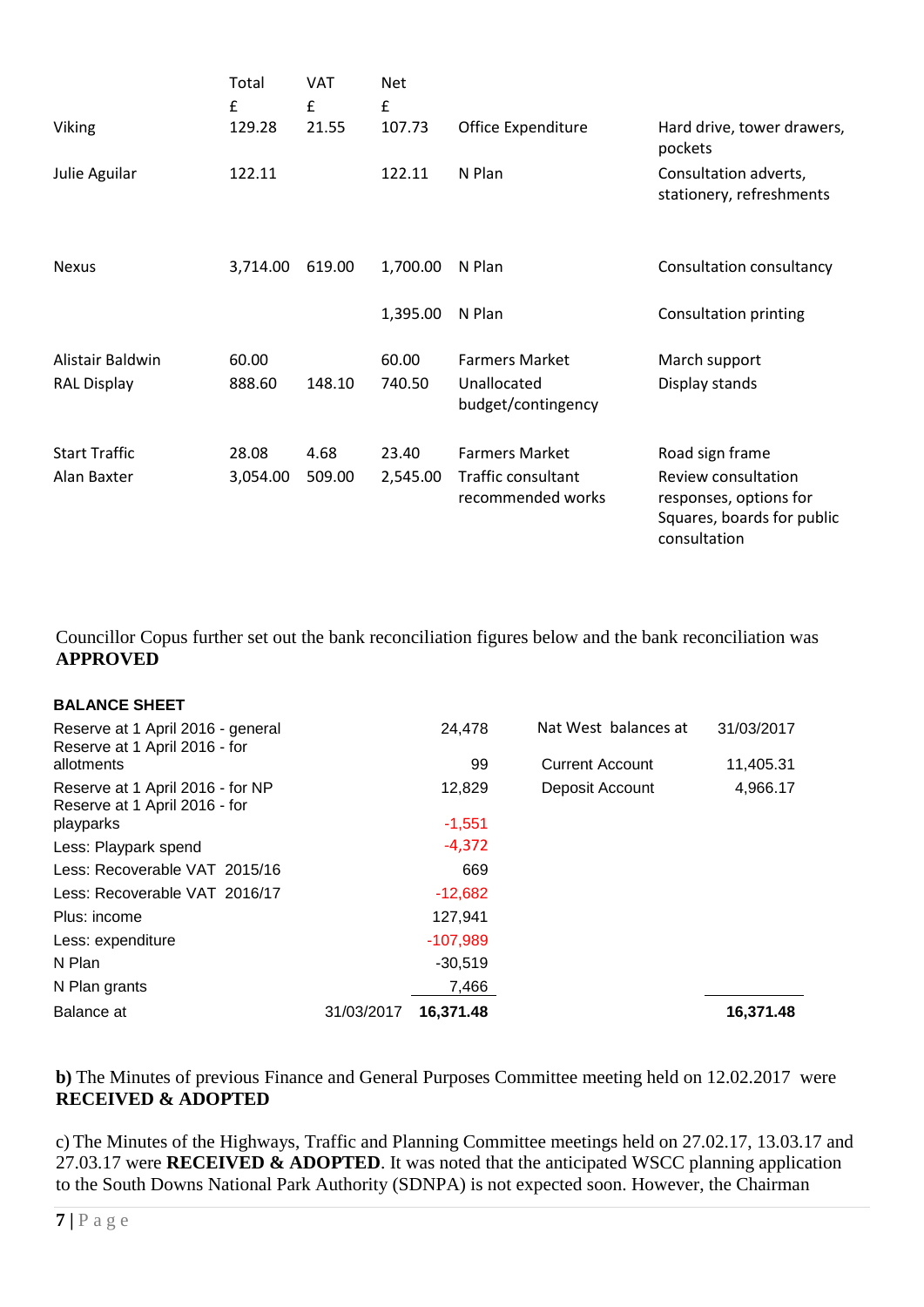|                                        | Total<br>£        | VAT<br>£       | <b>Net</b><br>£   |                                                                  |                                                                                                                |
|----------------------------------------|-------------------|----------------|-------------------|------------------------------------------------------------------|----------------------------------------------------------------------------------------------------------------|
| Viking                                 | 129.28            | 21.55          | 107.73            | Office Expenditure                                               | Hard drive, tower drawers,<br>pockets                                                                          |
| Julie Aguilar                          | 122.11            |                | 122.11            | N Plan                                                           | Consultation adverts,<br>stationery, refreshments                                                              |
| <b>Nexus</b>                           | 3,714.00          | 619.00         | 1,700.00          | N Plan                                                           | Consultation consultancy                                                                                       |
|                                        |                   |                | 1,395.00          | N Plan                                                           | <b>Consultation printing</b>                                                                                   |
| Alistair Baldwin<br><b>RAL Display</b> | 60.00<br>888.60   | 148.10         | 60.00<br>740.50   | <b>Farmers Market</b><br>Unallocated<br>budget/contingency       | March support<br>Display stands                                                                                |
| <b>Start Traffic</b><br>Alan Baxter    | 28.08<br>3,054.00 | 4.68<br>509.00 | 23.40<br>2,545.00 | <b>Farmers Market</b><br>Traffic consultant<br>recommended works | Road sign frame<br>Review consultation<br>responses, options for<br>Squares, boards for public<br>consultation |

Councillor Copus further set out the bank reconciliation figures below and the bank reconciliation was **APPROVED**

| <b>BALANCE SHEET</b>                                               |            |            |                        |            |
|--------------------------------------------------------------------|------------|------------|------------------------|------------|
| Reserve at 1 April 2016 - general<br>Reserve at 1 April 2016 - for |            | 24,478     | Nat West balances at   | 31/03/2017 |
| allotments                                                         |            | 99         | <b>Current Account</b> | 11,405.31  |
| Reserve at 1 April 2016 - for NP<br>Reserve at 1 April 2016 - for  |            | 12,829     | Deposit Account        | 4,966.17   |
| playparks                                                          |            | $-1,551$   |                        |            |
| Less: Playpark spend                                               |            | $-4,372$   |                        |            |
| Less: Recoverable VAT 2015/16                                      |            | 669        |                        |            |
| Less: Recoverable VAT 2016/17                                      |            | $-12,682$  |                        |            |
| Plus: income                                                       |            | 127,941    |                        |            |
| Less: expenditure                                                  |            | $-107,989$ |                        |            |
| N Plan                                                             |            | $-30,519$  |                        |            |
| N Plan grants                                                      |            | 7,466      |                        |            |
| Balance at                                                         | 31/03/2017 | 16,371.48  |                        | 16,371.48  |

**b)** The Minutes of previous Finance and General Purposes Committee meeting held on 12.02.2017 were **RECEIVED & ADOPTED**

c) The Minutes of the Highways, Traffic and Planning Committee meetings held on 27.02.17, 13.03.17 and 27.03.17 were **RECEIVED & ADOPTED**. It was noted that the anticipated WSCC planning application to the South Downs National Park Authority (SDNPA) is not expected soon. However, the Chairman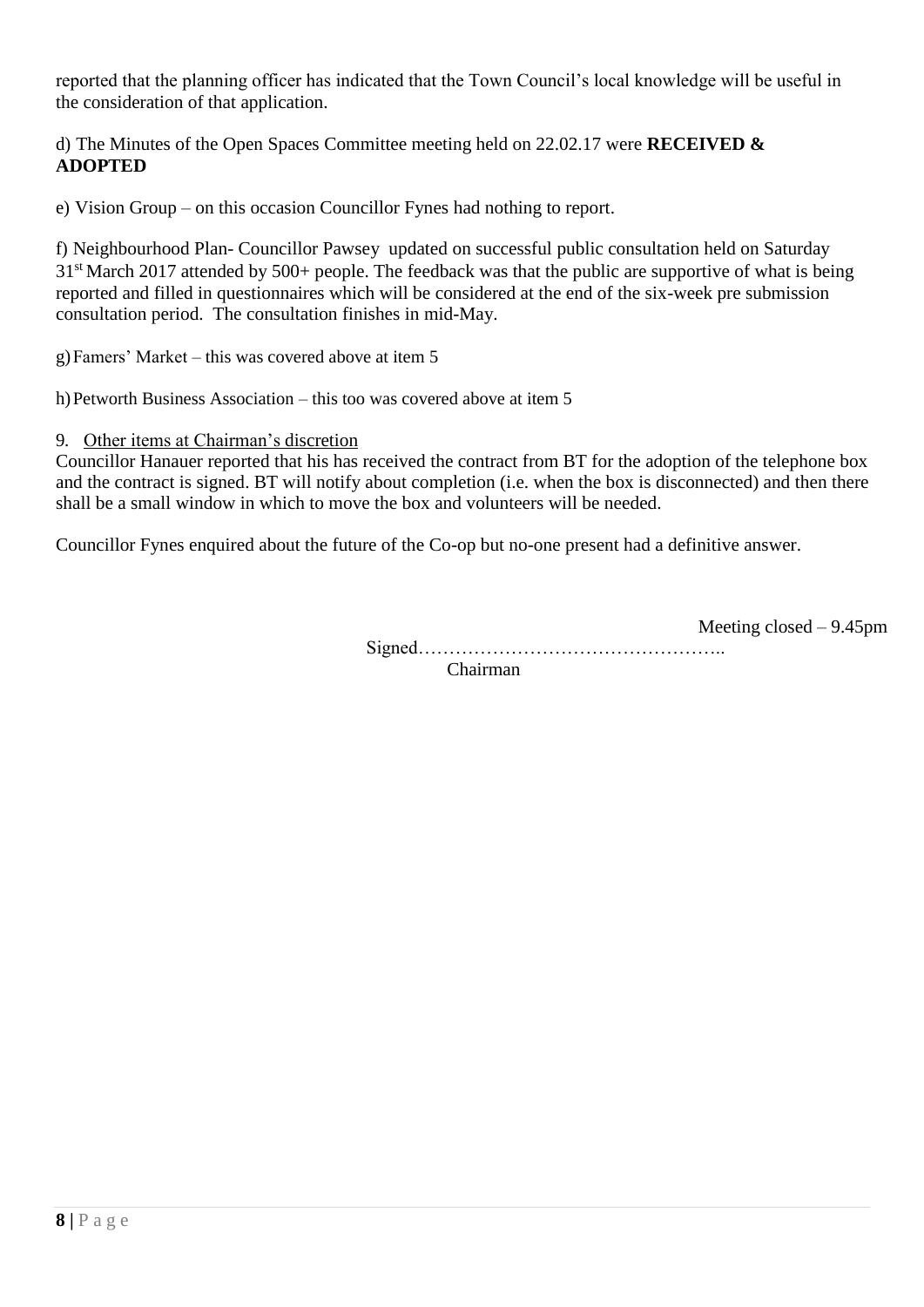reported that the planning officer has indicated that the Town Council's local knowledge will be useful in the consideration of that application.

d) The Minutes of the Open Spaces Committee meeting held on 22.02.17 were **RECEIVED & ADOPTED**

e) Vision Group – on this occasion Councillor Fynes had nothing to report.

f) Neighbourhood Plan- Councillor Pawsey updated on successful public consultation held on Saturday  $31<sup>st</sup>$  March 2017 attended by 500+ people. The feedback was that the public are supportive of what is being reported and filled in questionnaires which will be considered at the end of the six-week pre submission consultation period. The consultation finishes in mid-May.

g)Famers' Market – this was covered above at item 5

h)Petworth Business Association – this too was covered above at item 5

9. Other items at Chairman's discretion

Councillor Hanauer reported that his has received the contract from BT for the adoption of the telephone box and the contract is signed. BT will notify about completion (i.e. when the box is disconnected) and then there shall be a small window in which to move the box and volunteers will be needed.

Councillor Fynes enquired about the future of the Co-op but no-one present had a definitive answer.

Meeting closed – 9.45pm Signed………………………………………….. Chairman